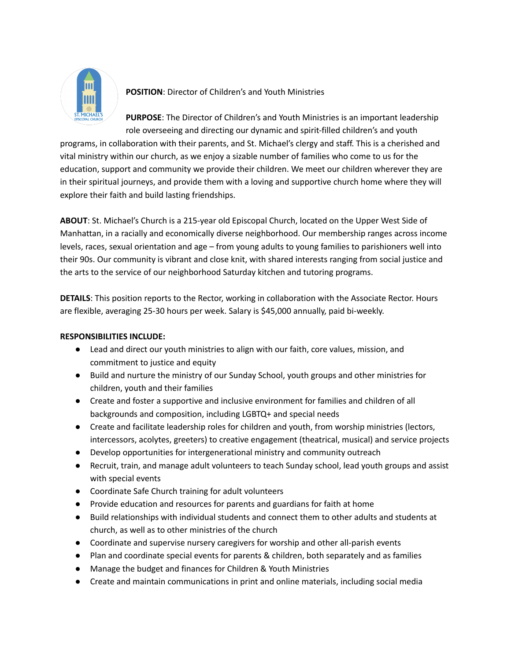

**POSITION**: Director of Children's and Youth Ministries

**PURPOSE**: The Director of Children's and Youth Ministries is an important leadership role overseeing and directing our dynamic and spirit-filled children's and youth

programs, in collaboration with their parents, and St. Michael's clergy and staff. This is a cherished and vital ministry within our church, as we enjoy a sizable number of families who come to us for the education, support and community we provide their children. We meet our children wherever they are in their spiritual journeys, and provide them with a loving and supportive church home where they will explore their faith and build lasting friendships.

**ABOUT**: St. Michael's Church is a 215-year old Episcopal Church, located on the Upper West Side of Manhattan, in a racially and economically diverse neighborhood. Our membership ranges across income levels, races, sexual orientation and age – from young adults to young families to parishioners well into their 90s. Our community is vibrant and close knit, with shared interests ranging from social justice and the arts to the service of our neighborhood Saturday kitchen and tutoring programs.

**DETAILS**: This position reports to the Rector, working in collaboration with the Associate Rector. Hours are flexible, averaging 25-30 hours per week. Salary is \$45,000 annually, paid bi-weekly.

## **RESPONSIBILITIES INCLUDE:**

- Lead and direct our youth ministries to align with our faith, core values, mission, and commitment to justice and equity
- Build and nurture the ministry of our Sunday School, youth groups and other ministries for children, youth and their families
- Create and foster a supportive and inclusive environment for families and children of all backgrounds and composition, including LGBTQ+ and special needs
- Create and facilitate leadership roles for children and youth, from worship ministries (lectors, intercessors, acolytes, greeters) to creative engagement (theatrical, musical) and service projects
- Develop opportunities for intergenerational ministry and community outreach
- Recruit, train, and manage adult volunteers to teach Sunday school, lead youth groups and assist with special events
- Coordinate Safe Church training for adult volunteers
- Provide education and resources for parents and guardians for faith at home
- Build relationships with individual students and connect them to other adults and students at church, as well as to other ministries of the church
- Coordinate and supervise nursery caregivers for worship and other all-parish events
- Plan and coordinate special events for parents & children, both separately and as families
- Manage the budget and finances for Children & Youth Ministries
- Create and maintain communications in print and online materials, including social media